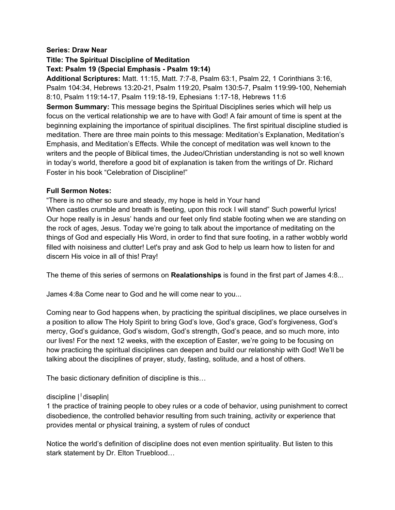#### **Series: Draw Near**

**Title: The Spiritual Discipline of Meditation**

#### **Text: Psalm 19 (Special Emphasis - Psalm 19:14)**

**Additional Scriptures:** Matt. 11:15, Matt. 7:7-8, Psalm 63:1, Psalm 22, 1 Corinthians 3:16, Psalm 104:34, Hebrews 13:20-21, Psalm 119:20, Psalm 130:5-7, Psalm 119:99-100, Nehemiah 8:10, Psalm 119:14-17, Psalm 119:18-19, Ephesians 1:17-18, Hebrews 11:6 **Sermon Summary:** This message begins the Spiritual Disciplines series which will help us focus on the vertical relationship we are to have with God! A fair amount of time is spent at the beginning explaining the importance of spiritual disciplines. The first spiritual discipline studied is meditation. There are three main points to this message: Meditation's Explanation, Meditation's Emphasis, and Meditation's Effects. While the concept of meditation was well known to the writers and the people of Biblical times, the Judeo/Christian understanding is not so well known in today's world, therefore a good bit of explanation is taken from the writings of Dr. Richard Foster in his book "Celebration of Discipline!"

#### **Full Sermon Notes:**

"There is no other so sure and steady, my hope is held in Your hand When castles crumble and breath is fleeting, upon this rock I will stand" Such powerful lyrics! Our hope really is in Jesus' hands and our feet only find stable footing when we are standing on the rock of ages, Jesus. Today we're going to talk about the importance of meditating on the things of God and especially His Word, in order to find that sure footing, in a rather wobbly world filled with noisiness and clutter! Let's pray and ask God to help us learn how to listen for and discern His voice in all of this! Pray!

The theme of this series of sermons on **Realationships** is found in the first part of James 4:8...

James 4:8a Come near to God and he will come near to you...

Coming near to God happens when, by practicing the spiritual disciplines, we place ourselves in a position to allow The Holy Spirit to bring God's love, God's grace, God's forgiveness, God's mercy, God's guidance, God's wisdom, God's strength, God's peace, and so much more, into our lives! For the next 12 weeks, with the exception of Easter, we're going to be focusing on how practicing the spiritual disciplines can deepen and build our relationship with God! We'll be talking about the disciplines of prayer, study, fasting, solitude, and a host of others.

The basic dictionary definition of discipline is this…

#### discipline |ˈdisəplin|

1 the practice of training people to obey rules or a code of behavior, using punishment to correct disobedience, the controlled behavior resulting from such training, activity or experience that provides mental or physical training, a system of rules of conduct

Notice the world's definition of discipline does not even mention spirituality. But listen to this stark statement by Dr. Elton Trueblood…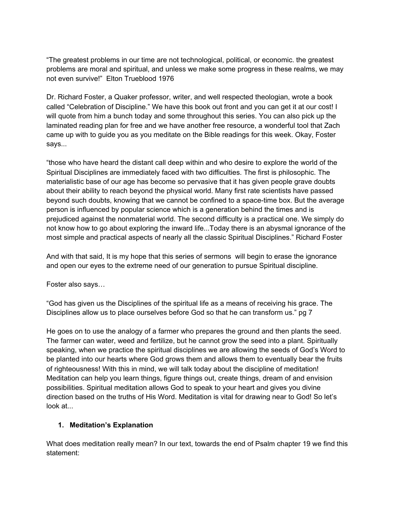"The greatest problems in our time are not technological, political, or economic. the greatest problems are moral and spiritual, and unless we make some progress in these realms, we may not even survive!" Elton Trueblood 1976

Dr. Richard Foster, a Quaker professor, writer, and well respected theologian, wrote a book called "Celebration of Discipline." We have this book out front and you can get it at our cost! I will quote from him a bunch today and some throughout this series. You can also pick up the laminated reading plan for free and we have another free resource, a wonderful tool that Zach came up with to guide you as you meditate on the Bible readings for this week. Okay, Foster says...

"those who have heard the distant call deep within and who desire to explore the world of the Spiritual Disciplines are immediately faced with two difficulties. The first is philosophic. The materialistic base of our age has become so pervasive that it has given people grave doubts about their ability to reach beyond the physical world. Many first rate scientists have passed beyond such doubts, knowing that we cannot be confined to a space-time box. But the average person is influenced by popular science which is a generation behind the times and is prejudiced against the nonmaterial world. The second difficulty is a practical one. We simply do not know how to go about exploring the inward life...Today there is an abysmal ignorance of the most simple and practical aspects of nearly all the classic Spiritual Disciplines." Richard Foster

And with that said, It is my hope that this series of sermons will begin to erase the ignorance and open our eyes to the extreme need of our generation to pursue Spiritual discipline.

Foster also says…

"God has given us the Disciplines of the spiritual life as a means of receiving his grace. The Disciplines allow us to place ourselves before God so that he can transform us." pg 7

He goes on to use the analogy of a farmer who prepares the ground and then plants the seed. The farmer can water, weed and fertilize, but he cannot grow the seed into a plant. Spiritually speaking, when we practice the spiritual disciplines we are allowing the seeds of God's Word to be planted into our hearts where God grows them and allows them to eventually bear the fruits of righteousness! With this in mind, we will talk today about the discipline of meditation! Meditation can help you learn things, figure things out, create things, dream of and envision possibilities. Spiritual meditation allows God to speak to your heart and gives you divine direction based on the truths of His Word. Meditation is vital for drawing near to God! So let's look at...

## **1. Meditation's Explanation**

What does meditation really mean? In our text, towards the end of Psalm chapter 19 we find this statement: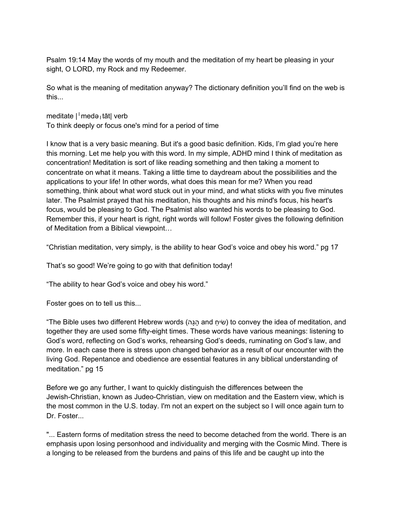Psalm 19:14 May the words of my mouth and the meditation of my heart be pleasing in your sight, O LORD, my Rock and my Redeemer.

So what is the meaning of meditation anyway? The dictionary definition you'll find on the web is this...

meditate |ˈmedəˌtāt| verb

To think deeply or focus one's mind for a period of time

I know that is a very basic meaning. But it's a good basic definition. Kids, I'm glad you're here this morning. Let me help you with this word. In my simple, ADHD mind I think of meditation as concentration! Meditation is sort of like reading something and then taking a moment to concentrate on what it means. Taking a little time to daydream about the possibilities and the applications to your life! In other words, what does this mean for me? When you read something, think about what word stuck out in your mind, and what sticks with you five minutes later. The Psalmist prayed that his meditation, his thoughts and his mind's focus, his heart's focus, would be pleasing to God. The Psalmist also wanted his words to be pleasing to God. Remember this, if your heart is right, right words will follow! Foster gives the following definition of Meditation from a Biblical viewpoint…

"Christian meditation, very simply, is the ability to hear God's voice and obey his word." pg 17

That's so good! We're going to go with that definition today!

"The ability to hear God's voice and obey his word."

Foster goes on to tell us this...

"The Bible uses two different Hebrew words (שׂיחַ and (שׂיחַ) to convey the idea of meditation, and together they are used some fifty-eight times. These words have various meanings: listening to God's word, reflecting on God's works, rehearsing God's deeds, ruminating on God's law, and more. In each case there is stress upon changed behavior as a result of our encounter with the living God. Repentance and obedience are essential features in any biblical understanding of meditation." pg 15

Before we go any further, I want to quickly distinguish the differences between the Jewish-Christian, known as Judeo-Christian, view on meditation and the Eastern view, which is the most common in the U.S. today. I'm not an expert on the subject so I will once again turn to Dr. Foster...

"... Eastern forms of meditation stress the need to become detached from the world. There is an emphasis upon losing personhood and individuality and merging with the Cosmic Mind. There is a longing to be released from the burdens and pains of this life and be caught up into the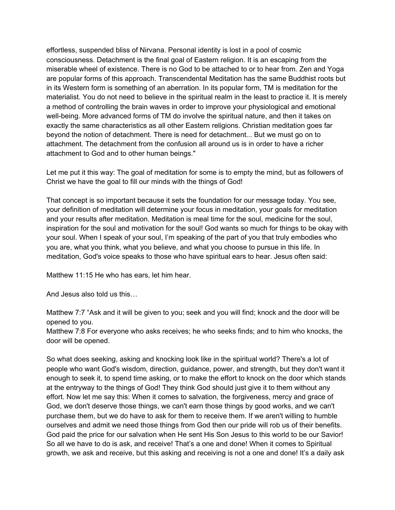effortless, suspended bliss of Nirvana. Personal identity is lost in a pool of cosmic consciousness. Detachment is the final goal of Eastern religion. It is an escaping from the miserable wheel of existence. There is no God to be attached to or to hear from. Zen and Yoga are popular forms of this approach. Transcendental Meditation has the same Buddhist roots but in its Western form is something of an aberration. In its popular form, TM is meditation for the materialist. You do not need to believe in the spiritual realm in the least to practice it. It is merely a method of controlling the brain waves in order to improve your physiological and emotional well-being. More advanced forms of TM do involve the spiritual nature, and then it takes on exactly the same characteristics as all other Eastern religions. Christian meditation goes far beyond the notion of detachment. There is need for detachment... But we must go on to attachment. The detachment from the confusion all around us is in order to have a richer attachment to God and to other human beings."

Let me put it this way: The goal of meditation for some is to empty the mind, but as followers of Christ we have the goal to fill our minds with the things of God!

That concept is so important because it sets the foundation for our message today. You see, your definition of meditation will determine your focus in meditation, your goals for meditation and your results after meditation. Meditation is meal time for the soul, medicine for the soul, inspiration for the soul and motivation for the soul! God wants so much for things to be okay with your soul. When I speak of your soul, I'm speaking of the part of you that truly embodies who you are, what you think, what you believe, and what you choose to pursue in this life. In meditation, God's voice speaks to those who have spiritual ears to hear. Jesus often said:

Matthew 11:15 He who has ears, let him hear.

And Jesus also told us this…

Matthew 7:7 "Ask and it will be given to you; seek and you will find; knock and the door will be opened to you.

Matthew 7:8 For everyone who asks receives; he who seeks finds; and to him who knocks, the door will be opened.

So what does seeking, asking and knocking look like in the spiritual world? There's a lot of people who want God's wisdom, direction, guidance, power, and strength, but they don't want it enough to seek it, to spend time asking, or to make the effort to knock on the door which stands at the entryway to the things of God! They think God should just give it to them without any effort. Now let me say this: When it comes to salvation, the forgiveness, mercy and grace of God, we don't deserve those things, we can't earn those things by good works, and we can't purchase them, but we do have to ask for them to receive them. If we aren't willing to humble ourselves and admit we need those things from God then our pride will rob us of their benefits. God paid the price for our salvation when He sent His Son Jesus to this world to be our Savior! So all we have to do is ask, and receive! That's a one and done! When it comes to Spiritual growth, we ask and receive, but this asking and receiving is not a one and done! It's a daily ask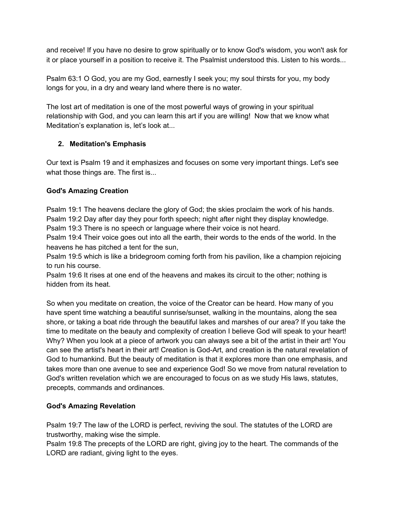and receive! If you have no desire to grow spiritually or to know God's wisdom, you won't ask for it or place yourself in a position to receive it. The Psalmist understood this. Listen to his words...

Psalm 63:1 O God, you are my God, earnestly I seek you; my soul thirsts for you, my body longs for you, in a dry and weary land where there is no water.

The lost art of meditation is one of the most powerful ways of growing in your spiritual relationship with God, and you can learn this art if you are willing! Now that we know what Meditation's explanation is, let's look at...

# **2. Meditation's Emphasis**

Our text is Psalm 19 and it emphasizes and focuses on some very important things. Let's see what those things are. The first is...

## **God's Amazing Creation**

Psalm 19:1 The heavens declare the glory of God; the skies proclaim the work of his hands. Psalm 19:2 Day after day they pour forth speech; night after night they display knowledge.

Psalm 19:3 There is no speech or language where their voice is not heard.

Psalm 19:4 Their voice goes out into all the earth, their words to the ends of the world. In the heavens he has pitched a tent for the sun,

Psalm 19:5 which is like a bridegroom coming forth from his pavilion, like a champion rejoicing to run his course.

Psalm 19:6 It rises at one end of the heavens and makes its circuit to the other; nothing is hidden from its heat.

So when you meditate on creation, the voice of the Creator can be heard. How many of you have spent time watching a beautiful sunrise/sunset, walking in the mountains, along the sea shore, or taking a boat ride through the beautiful lakes and marshes of our area? If you take the time to meditate on the beauty and complexity of creation I believe God will speak to your heart! Why? When you look at a piece of artwork you can always see a bit of the artist in their art! You can see the artist's heart in their art! Creation is God-Art, and creation is the natural revelation of God to humankind. But the beauty of meditation is that it explores more than one emphasis, and takes more than one avenue to see and experience God! So we move from natural revelation to God's written revelation which we are encouraged to focus on as we study His laws, statutes, precepts, commands and ordinances.

# **God's Amazing Revelation**

Psalm 19:7 The law of the LORD is perfect, reviving the soul. The statutes of the LORD are trustworthy, making wise the simple.

Psalm 19:8 The precepts of the LORD are right, giving joy to the heart. The commands of the LORD are radiant, giving light to the eyes.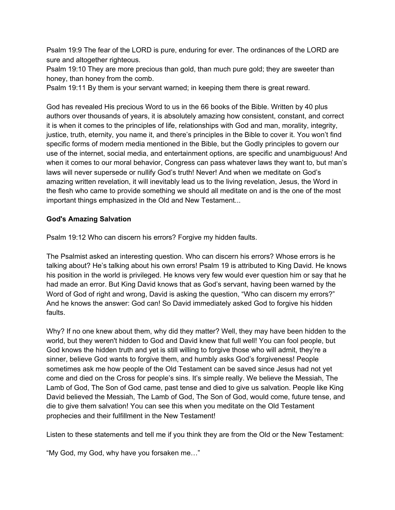Psalm 19:9 The fear of the LORD is pure, enduring for ever. The ordinances of the LORD are sure and altogether righteous.

Psalm 19:10 They are more precious than gold, than much pure gold; they are sweeter than honey, than honey from the comb.

Psalm 19:11 By them is your servant warned; in keeping them there is great reward.

God has revealed His precious Word to us in the 66 books of the Bible. Written by 40 plus authors over thousands of years, it is absolutely amazing how consistent, constant, and correct it is when it comes to the principles of life, relationships with God and man, morality, integrity, justice, truth, eternity, you name it, and there's principles in the Bible to cover it. You won't find specific forms of modern media mentioned in the Bible, but the Godly principles to govern our use of the internet, social media, and entertainment options, are specific and unambiguous! And when it comes to our moral behavior, Congress can pass whatever laws they want to, but man's laws will never supersede or nullify God's truth! Never! And when we meditate on God's amazing written revelation, it will inevitably lead us to the living revelation, Jesus, the Word in the flesh who came to provide something we should all meditate on and is the one of the most important things emphasized in the Old and New Testament...

### **God's Amazing Salvation**

Psalm 19:12 Who can discern his errors? Forgive my hidden faults.

The Psalmist asked an interesting question. Who can discern his errors? Whose errors is he talking about? He's talking about his own errors! Psalm 19 is attributed to King David. He knows his position in the world is privileged. He knows very few would ever question him or say that he had made an error. But King David knows that as God's servant, having been warned by the Word of God of right and wrong, David is asking the question, "Who can discern my errors?" And he knows the answer: God can! So David immediately asked God to forgive his hidden faults.

Why? If no one knew about them, why did they matter? Well, they may have been hidden to the world, but they weren't hidden to God and David knew that full well! You can fool people, but God knows the hidden truth and yet is still willing to forgive those who will admit, they're a sinner, believe God wants to forgive them, and humbly asks God's forgiveness! People sometimes ask me how people of the Old Testament can be saved since Jesus had not yet come and died on the Cross for people's sins. It's simple really. We believe the Messiah, The Lamb of God, The Son of God came, past tense and died to give us salvation. People like King David believed the Messiah, The Lamb of God, The Son of God, would come, future tense, and die to give them salvation! You can see this when you meditate on the Old Testament prophecies and their fulfillment in the New Testament!

Listen to these statements and tell me if you think they are from the Old or the New Testament:

"My God, my God, why have you forsaken me…"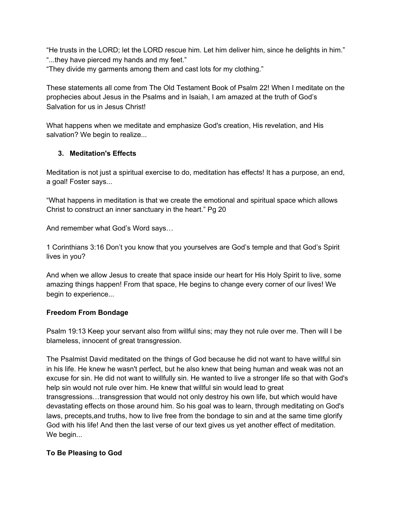"He trusts in the LORD; let the LORD rescue him. Let him deliver him, since he delights in him." "...they have pierced my hands and my feet." "They divide my garments among them and cast lots for my clothing."

These statements all come from The Old Testament Book of Psalm 22! When I meditate on the prophecies about Jesus in the Psalms and in Isaiah, I am amazed at the truth of God's Salvation for us in Jesus Christ!

What happens when we meditate and emphasize God's creation, His revelation, and His salvation? We begin to realize...

# **3. Meditation's Effects**

Meditation is not just a spiritual exercise to do, meditation has effects! It has a purpose, an end, a goal! Foster says...

"What happens in meditation is that we create the emotional and spiritual space which allows Christ to construct an inner sanctuary in the heart." Pg 20

And remember what God's Word says…

1 Corinthians 3:16 Don't you know that you yourselves are God's temple and that God's Spirit lives in you?

And when we allow Jesus to create that space inside our heart for His Holy Spirit to live, some amazing things happen! From that space, He begins to change every corner of our lives! We begin to experience...

## **Freedom From Bondage**

Psalm 19:13 Keep your servant also from willful sins; may they not rule over me. Then will I be blameless, innocent of great transgression.

The Psalmist David meditated on the things of God because he did not want to have willful sin in his life. He knew he wasn't perfect, but he also knew that being human and weak was not an excuse for sin. He did not want to willfully sin. He wanted to live a stronger life so that with God's help sin would not rule over him. He knew that willful sin would lead to great transgressions…transgression that would not only destroy his own life, but which would have devastating effects on those around him. So his goal was to learn, through meditating on God's laws, precepts,and truths, how to live free from the bondage to sin and at the same time glorify God with his life! And then the last verse of our text gives us yet another effect of meditation. We begin...

# **To Be Pleasing to God**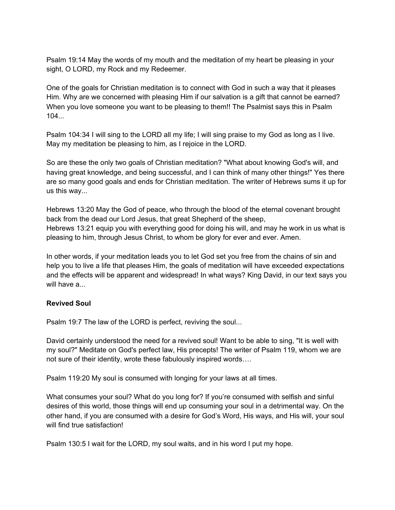Psalm 19:14 May the words of my mouth and the meditation of my heart be pleasing in your sight, O LORD, my Rock and my Redeemer.

One of the goals for Christian meditation is to connect with God in such a way that it pleases Him. Why are we concerned with pleasing Him if our salvation is a gift that cannot be earned? When you love someone you want to be pleasing to them!! The Psalmist says this in Psalm  $104...$ 

Psalm 104:34 I will sing to the LORD all my life; I will sing praise to my God as long as I live. May my meditation be pleasing to him, as I rejoice in the LORD.

So are these the only two goals of Christian meditation? "What about knowing God's will, and having great knowledge, and being successful, and I can think of many other things!" Yes there are so many good goals and ends for Christian meditation. The writer of Hebrews sums it up for us this way...

Hebrews 13:20 May the God of peace, who through the blood of the eternal covenant brought back from the dead our Lord Jesus, that great Shepherd of the sheep, Hebrews 13:21 equip you with everything good for doing his will, and may he work in us what is pleasing to him, through Jesus Christ, to whom be glory for ever and ever. Amen.

In other words, if your meditation leads you to let God set you free from the chains of sin and help you to live a life that pleases Him, the goals of meditation will have exceeded expectations and the effects will be apparent and widespread! In what ways? King David, in our text says you will have a...

#### **Revived Soul**

Psalm 19:7 The law of the LORD is perfect, reviving the soul...

David certainly understood the need for a revived soul! Want to be able to sing, "It is well with my soul?" Meditate on God's perfect law, His precepts! The writer of Psalm 119, whom we are not sure of their identity, wrote these fabulously inspired words….

Psalm 119:20 My soul is consumed with longing for your laws at all times.

What consumes your soul? What do you long for? If you're consumed with selfish and sinful desires of this world, those things will end up consuming your soul in a detrimental way. On the other hand, if you are consumed with a desire for God's Word, His ways, and His will, your soul will find true satisfaction!

Psalm 130:5 I wait for the LORD, my soul waits, and in his word I put my hope.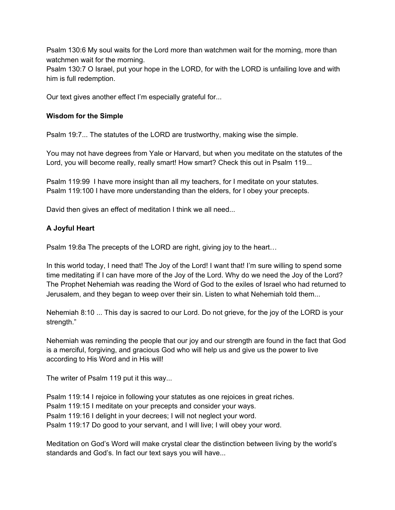Psalm 130:6 My soul waits for the Lord more than watchmen wait for the morning, more than watchmen wait for the morning.

Psalm 130:7 O Israel, put your hope in the LORD, for with the LORD is unfailing love and with him is full redemption.

Our text gives another effect I'm especially grateful for...

### **Wisdom for the Simple**

Psalm 19:7... The statutes of the LORD are trustworthy, making wise the simple.

You may not have degrees from Yale or Harvard, but when you meditate on the statutes of the Lord, you will become really, really smart! How smart? Check this out in Psalm 119...

Psalm 119:99 I have more insight than all my teachers, for I meditate on your statutes. Psalm 119:100 I have more understanding than the elders, for I obey your precepts.

David then gives an effect of meditation I think we all need...

## **A Joyful Heart**

Psalm 19:8a The precepts of the LORD are right, giving joy to the heart…

In this world today, I need that! The Joy of the Lord! I want that! I'm sure willing to spend some time meditating if I can have more of the Joy of the Lord. Why do we need the Joy of the Lord? The Prophet Nehemiah was reading the Word of God to the exiles of Israel who had returned to Jerusalem, and they began to weep over their sin. Listen to what Nehemiah told them...

Nehemiah 8:10 ... This day is sacred to our Lord. Do not grieve, for the joy of the LORD is your strength."

Nehemiah was reminding the people that our joy and our strength are found in the fact that God is a merciful, forgiving, and gracious God who will help us and give us the power to live according to His Word and in His will!

The writer of Psalm 119 put it this way...

Psalm 119:14 I rejoice in following your statutes as one rejoices in great riches. Psalm 119:15 I meditate on your precepts and consider your ways. Psalm 119:16 I delight in your decrees; I will not neglect your word. Psalm 119:17 Do good to your servant, and I will live; I will obey your word.

Meditation on God's Word will make crystal clear the distinction between living by the world's standards and God's. In fact our text says you will have...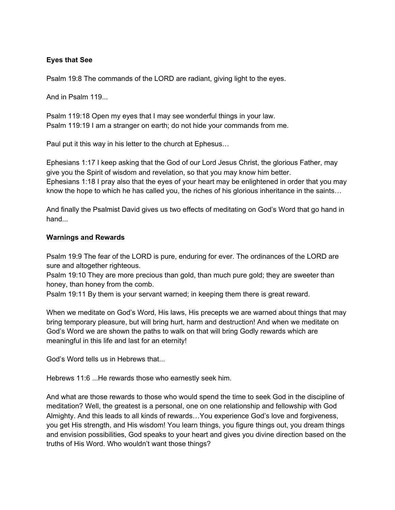## **Eyes that See**

Psalm 19:8 The commands of the LORD are radiant, giving light to the eyes.

And in Psalm 119...

Psalm 119:18 Open my eyes that I may see wonderful things in your law. Psalm 119:19 I am a stranger on earth; do not hide your commands from me.

Paul put it this way in his letter to the church at Ephesus…

Ephesians 1:17 I keep asking that the God of our Lord Jesus Christ, the glorious Father, may give you the Spirit of wisdom and revelation, so that you may know him better. Ephesians 1:18 I pray also that the eyes of your heart may be enlightened in order that you may know the hope to which he has called you, the riches of his glorious inheritance in the saints…

And finally the Psalmist David gives us two effects of meditating on God's Word that go hand in hand...

### **Warnings and Rewards**

Psalm 19:9 The fear of the LORD is pure, enduring for ever. The ordinances of the LORD are sure and altogether righteous.

Psalm 19:10 They are more precious than gold, than much pure gold; they are sweeter than honey, than honey from the comb.

Psalm 19:11 By them is your servant warned; in keeping them there is great reward.

When we meditate on God's Word, His laws, His precepts we are warned about things that may bring temporary pleasure, but will bring hurt, harm and destruction! And when we meditate on God's Word we are shown the paths to walk on that will bring Godly rewards which are meaningful in this life and last for an eternity!

God's Word tells us in Hebrews that...

Hebrews 11:6 ...He rewards those who earnestly seek him.

And what are those rewards to those who would spend the time to seek God in the discipline of meditation? Well, the greatest is a personal, one on one relationship and fellowship with God Almighty. And this leads to all kinds of rewards…You experience God's love and forgiveness, you get His strength, and His wisdom! You learn things, you figure things out, you dream things and envision possibilities, God speaks to your heart and gives you divine direction based on the truths of His Word. Who wouldn't want those things?